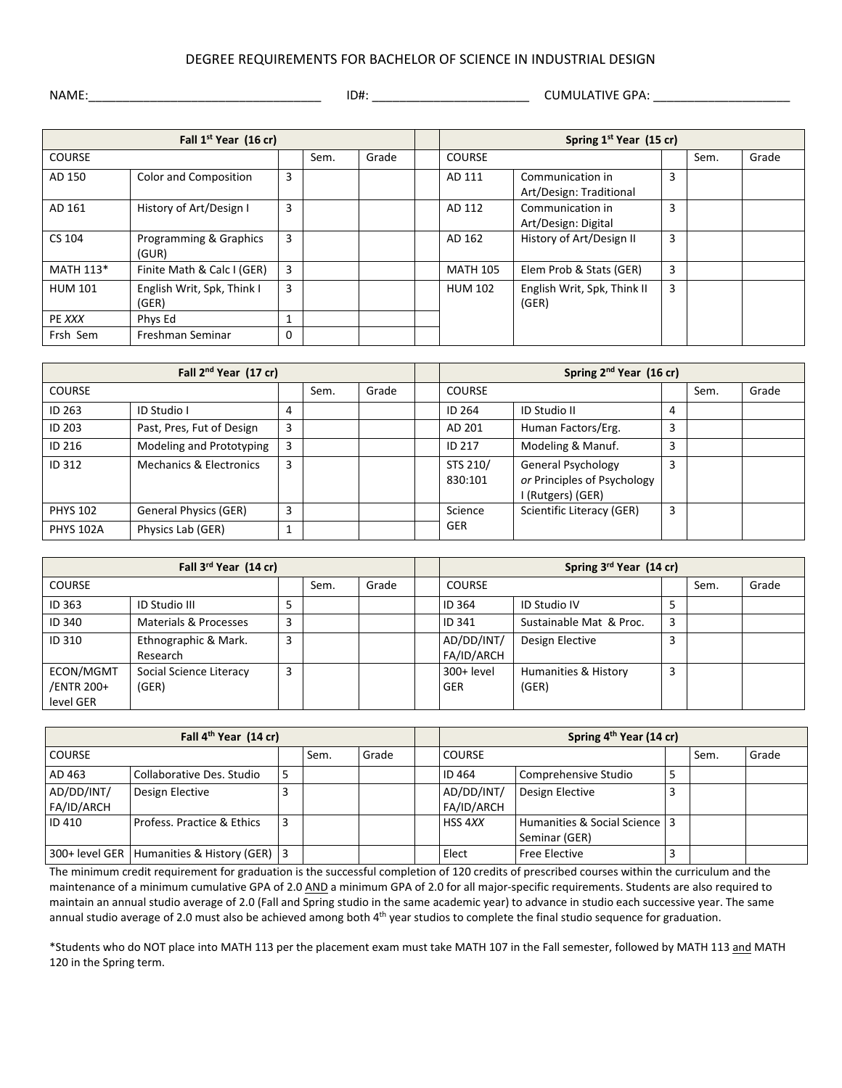## DEGREE REQUIREMENTS FOR BACHELOR OF SCIENCE IN INDUSTRIAL DESIGN

|  | NAME: |  |
|--|-------|--|
|  |       |  |

NAME:\_\_\_\_\_\_\_\_\_\_\_\_\_\_\_\_\_\_\_\_\_\_\_\_\_\_\_\_\_\_\_\_\_\_ ID#: \_\_\_\_\_\_\_\_\_\_\_\_\_\_\_\_\_\_\_\_\_\_\_ CUMULATIVE GPA: \_\_\_\_\_\_\_\_\_\_\_\_\_\_\_\_\_\_\_\_

| Fall 1 <sup>st</sup> Year (16 cr) |                                     |   |      |       | Spring 1 <sup>st</sup> Year (15 cr) |                                             |   |      |       |
|-----------------------------------|-------------------------------------|---|------|-------|-------------------------------------|---------------------------------------------|---|------|-------|
| <b>COURSE</b>                     |                                     |   | Sem. | Grade | <b>COURSE</b>                       |                                             |   | Sem. | Grade |
| AD 150                            | Color and Composition               | 3 |      |       | AD 111                              | Communication in<br>Art/Design: Traditional | 3 |      |       |
| AD 161                            | History of Art/Design I             | 3 |      |       | AD 112                              | Communication in<br>Art/Design: Digital     | 3 |      |       |
| CS 104                            | Programming & Graphics<br>(GUR)     | 3 |      |       | AD 162                              | History of Art/Design II                    | 3 |      |       |
| MATH 113*                         | Finite Math & Calc I (GER)          | 3 |      |       | <b>MATH 105</b>                     | Elem Prob & Stats (GER)                     | 3 |      |       |
| <b>HUM 101</b>                    | English Writ, Spk, Think I<br>(GER) | 3 |      |       | <b>HUM 102</b>                      | English Writ, Spk, Think II<br>(GER)        | 3 |      |       |
| PE XXX                            | Phys Ed                             |   |      |       |                                     |                                             |   |      |       |
| Frsh Sem                          | Freshman Seminar                    | 0 |      |       |                                     |                                             |   |      |       |

| Fall 2 <sup>nd</sup> Year (17 cr) |                                    |              |      |       | Spring 2 <sup>nd</sup> Year (16 cr) |                                                                               |   |      |       |
|-----------------------------------|------------------------------------|--------------|------|-------|-------------------------------------|-------------------------------------------------------------------------------|---|------|-------|
| <b>COURSE</b>                     |                                    |              | Sem. | Grade | <b>COURSE</b>                       |                                                                               |   | Sem. | Grade |
| ID 263                            | ID Studio I                        | 4            |      |       | ID 264                              | <b>ID Studio II</b>                                                           | 4 |      |       |
| <b>ID 203</b>                     | Past, Pres, Fut of Design          | 3            |      |       | AD 201                              | Human Factors/Erg.                                                            | 3 |      |       |
| ID 216                            | Modeling and Prototyping           | 3            |      |       | <b>ID 217</b>                       | Modeling & Manuf.                                                             | 3 |      |       |
| ID 312                            | <b>Mechanics &amp; Electronics</b> | 3            |      |       | STS 210/<br>830:101                 | <b>General Psychology</b><br>or Principles of Psychology<br>I (Rutgers) (GER) | 3 |      |       |
| <b>PHYS 102</b>                   | <b>General Physics (GER)</b>       | 3            |      |       | Science                             | Scientific Literacy (GER)                                                     | 3 |      |       |
| <b>PHYS 102A</b>                  | Physics Lab (GER)                  | $\mathbf{1}$ |      |       | <b>GER</b>                          |                                                                               |   |      |       |

| Fall 3rd Year (14 cr)                |                                  |   |      | Spring 3rd Year (14 cr) |                          |                               |   |      |       |
|--------------------------------------|----------------------------------|---|------|-------------------------|--------------------------|-------------------------------|---|------|-------|
| <b>COURSE</b>                        |                                  |   | Sem. | Grade                   | <b>COURSE</b>            |                               |   | Sem. | Grade |
| ID 363                               | ID Studio III                    | 5 |      |                         | <b>ID 364</b>            | <b>ID Studio IV</b>           |   |      |       |
| ID 340                               | Materials & Processes            | 3 |      |                         | <b>ID 341</b>            | Sustainable Mat & Proc.       | 3 |      |       |
| ID 310                               | Ethnographic & Mark.<br>Research | 3 |      |                         | AD/DD/INT/<br>FA/ID/ARCH | Design Elective               |   |      |       |
| ECON/MGMT<br>/ENTR 200+<br>level GER | Social Science Literacy<br>(GER) | 3 |      |                         | 300+ level<br><b>GER</b> | Humanities & History<br>(GER) | 3 |      |       |

| Fall 4 <sup>th</sup> Year (14 cr) |                                                 |   |      |       | Spring 4 <sup>th</sup> Year (14 cr) |                                                  |   |      |       |
|-----------------------------------|-------------------------------------------------|---|------|-------|-------------------------------------|--------------------------------------------------|---|------|-------|
| <b>COURSE</b>                     |                                                 |   | Sem. | Grade | <b>COURSE</b>                       |                                                  |   | Sem. | Grade |
| AD 463                            | Collaborative Des. Studio                       | 5 |      |       | ID 464                              | Comprehensive Studio                             | כ |      |       |
| AD/DD/INT/<br>FA/ID/ARCH          | Design Elective                                 |   |      |       | AD/DD/INT/<br>FA/ID/ARCH            | Design Elective                                  |   |      |       |
| <b>ID 410</b>                     | Profess. Practice & Ethics                      | 3 |      |       | HSS 4XX                             | Humanities & Social Science   3<br>Seminar (GER) |   |      |       |
|                                   | 300+ level GER   Humanities & History (GER)   3 |   |      |       | Elect                               | <b>Free Elective</b>                             |   |      |       |

The minimum credit requirement for graduation is the successful completion of 120 credits of prescribed courses within the curriculum and the maintenance of a minimum cumulative GPA of 2.0 AND a minimum GPA of 2.0 for all major-specific requirements. Students are also required to maintain an annual studio average of 2.0 (Fall and Spring studio in the same academic year) to advance in studio each successive year. The same annual studio average of 2.0 must also be achieved among both 4<sup>th</sup> year studios to complete the final studio sequence for graduation.

\*Students who do NOT place into MATH 113 per the placement exam must take MATH 107 in the Fall semester, followed by MATH 113 and MATH 120 in the Spring term.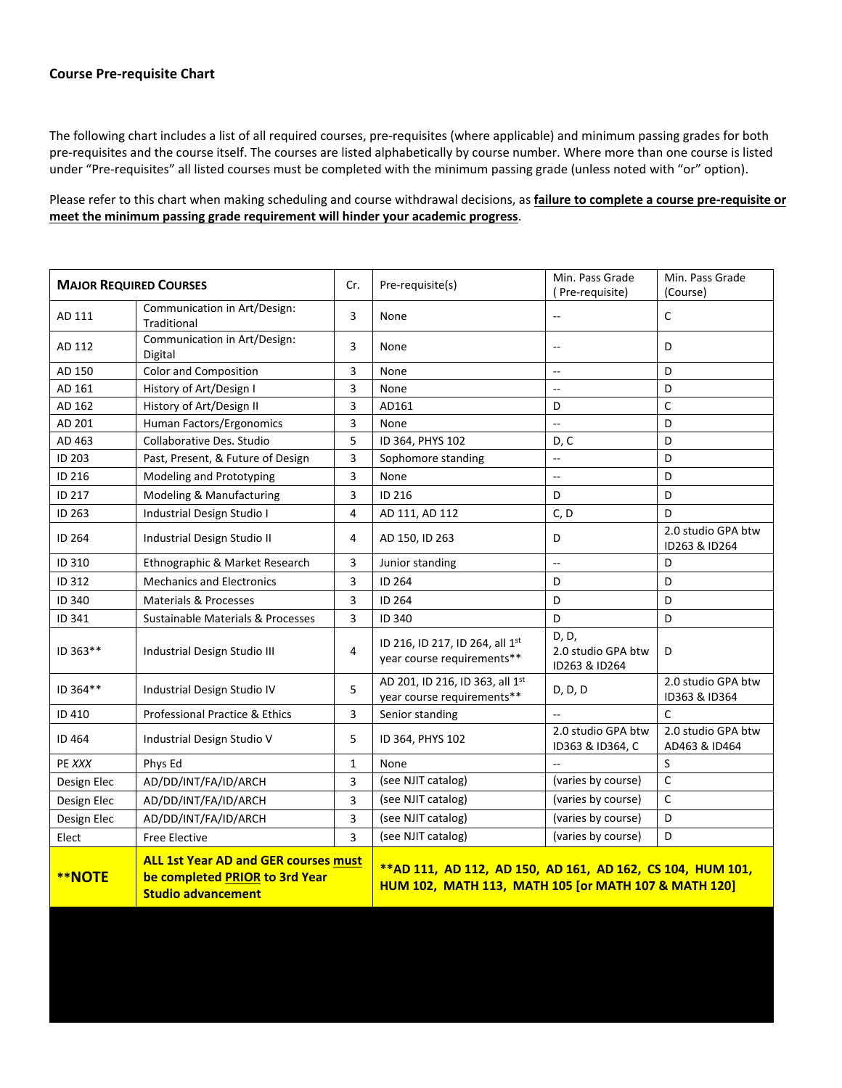## **Course Pre-requisite Chart**

The following chart includes a list of all required courses, pre-requisites (where applicable) and minimum passing grades for both pre-requisites and the course itself. The courses are listed alphabetically by course number. Where more than one course is listed under "Pre-requisites" all listed courses must be completed with the minimum passing grade (unless noted with "or" option).

Please refer to this chart when making scheduling and course withdrawal decisions, as **failure to complete a course pre-requisite or meet the minimum passing grade requirement will hinder your academic progress**.

| <b>MAJOR REQUIRED COURSES</b>                                                                                               |                                             | Cr.          | Pre-requisite(s)                                                                                                    | Min. Pass Grade<br>(Pre-requisite)           | Min. Pass Grade<br>(Course)         |  |  |
|-----------------------------------------------------------------------------------------------------------------------------|---------------------------------------------|--------------|---------------------------------------------------------------------------------------------------------------------|----------------------------------------------|-------------------------------------|--|--|
| AD 111                                                                                                                      | Communication in Art/Design:<br>Traditional | 3            | None                                                                                                                | $\overline{\phantom{a}}$                     | $\mathsf C$                         |  |  |
| AD 112                                                                                                                      | Communication in Art/Design:<br>Digital     | 3            | None                                                                                                                | $\qquad \qquad -$                            | D                                   |  |  |
| AD 150                                                                                                                      | Color and Composition                       | 3            | None                                                                                                                | $\sim$ $-$                                   | D                                   |  |  |
| AD 161                                                                                                                      | History of Art/Design I                     | 3            | None                                                                                                                | $\overline{\phantom{a}}$                     | D                                   |  |  |
| AD 162                                                                                                                      | History of Art/Design II                    | 3            | AD161                                                                                                               | D                                            | $\mathsf{C}$                        |  |  |
| AD 201                                                                                                                      | Human Factors/Ergonomics                    | 3            | None                                                                                                                | $\sim$                                       | D                                   |  |  |
| AD 463                                                                                                                      | Collaborative Des. Studio                   | 5            | ID 364, PHYS 102                                                                                                    | D, C                                         | D                                   |  |  |
| ID 203                                                                                                                      | Past, Present, & Future of Design           | 3            | Sophomore standing                                                                                                  | $\overline{a}$                               | D                                   |  |  |
| ID 216                                                                                                                      | Modeling and Prototyping                    | 3            | None                                                                                                                | $\overline{\phantom{a}}$                     | D                                   |  |  |
| ID 217                                                                                                                      | Modeling & Manufacturing                    | 3            | ID 216                                                                                                              | D                                            | D                                   |  |  |
| ID 263                                                                                                                      | Industrial Design Studio I                  | 4            | AD 111, AD 112                                                                                                      | C, D                                         | D                                   |  |  |
| ID 264                                                                                                                      | Industrial Design Studio II                 | 4            | AD 150, ID 263                                                                                                      | D                                            | 2.0 studio GPA btw<br>ID263 & ID264 |  |  |
| ID 310                                                                                                                      | Ethnographic & Market Research              | 3            | Junior standing                                                                                                     | $\overline{\phantom{a}}$                     | D                                   |  |  |
| ID 312                                                                                                                      | <b>Mechanics and Electronics</b>            | 3            | ID 264                                                                                                              | D                                            | D                                   |  |  |
| ID 340                                                                                                                      | <b>Materials &amp; Processes</b>            | 3            | ID 264                                                                                                              | D                                            | D                                   |  |  |
| ID 341                                                                                                                      | Sustainable Materials & Processes           | 3            | ID 340                                                                                                              | D                                            | D                                   |  |  |
| ID 363**                                                                                                                    | Industrial Design Studio III                | 4            | ID 216, ID 217, ID 264, all 1st<br>year course requirements**                                                       | D, D,<br>2.0 studio GPA btw<br>ID263 & ID264 | D                                   |  |  |
| ID 364**                                                                                                                    | Industrial Design Studio IV                 | 5            | AD 201, ID 216, ID 363, all 1st<br>year course requirements**                                                       | D, D, D                                      | 2.0 studio GPA btw<br>ID363 & ID364 |  |  |
| ID 410                                                                                                                      | Professional Practice & Ethics              | 3            | Senior standing                                                                                                     |                                              | $\mathsf{C}$                        |  |  |
| ID 464                                                                                                                      | Industrial Design Studio V                  | 5            | ID 364, PHYS 102                                                                                                    | 2.0 studio GPA btw<br>ID363 & ID364, C       | 2.0 studio GPA btw<br>AD463 & ID464 |  |  |
| PE XXX                                                                                                                      | Phys Ed                                     | $\mathbf{1}$ | None                                                                                                                |                                              | S                                   |  |  |
| Design Elec                                                                                                                 | AD/DD/INT/FA/ID/ARCH                        | 3            | (see NJIT catalog)                                                                                                  | (varies by course)                           | $\mathsf{C}$                        |  |  |
| Design Elec                                                                                                                 | AD/DD/INT/FA/ID/ARCH                        | 3            | (see NJIT catalog)                                                                                                  | (varies by course)                           | C                                   |  |  |
| Design Elec                                                                                                                 | AD/DD/INT/FA/ID/ARCH                        | 3            | (see NJIT catalog)                                                                                                  | (varies by course)                           | D                                   |  |  |
| Elect                                                                                                                       | <b>Free Elective</b>                        | 3            | (see NJIT catalog)                                                                                                  | (varies by course)                           | D                                   |  |  |
| <b>ALL 1st Year AD and GER courses must</b><br><b>**NOTE</b><br>be completed PRIOR to 3rd Year<br><b>Studio advancement</b> |                                             |              | ** AD 111, AD 112, AD 150, AD 161, AD 162, CS 104, HUM 101,<br>HUM 102, MATH 113, MATH 105 [or MATH 107 & MATH 120] |                                              |                                     |  |  |